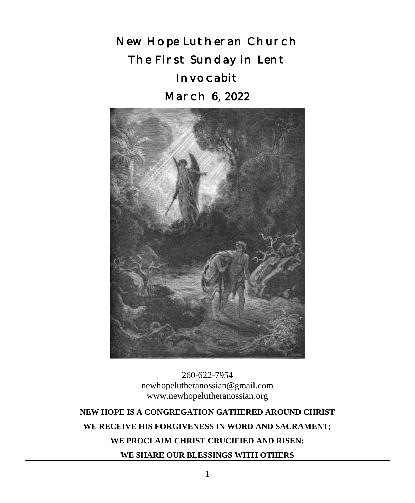New Hope Lutheran Church The First Sunday in Lent Invocabit March 6, 2022



260-622-7954 newhopelutheranossian@gmail.com www.newhopelutheranossian.org

# **NEW HOPE IS A CONGREGATION GATHERED AROUND CHRIST WE RECEIVE HIS FORGIVENESS IN WORD AND SACRAMENT; WE PROCLAIM CHRIST CRUCIFIED AND RISEN; WE SHARE OUR BLESSINGS WITH OTHERS**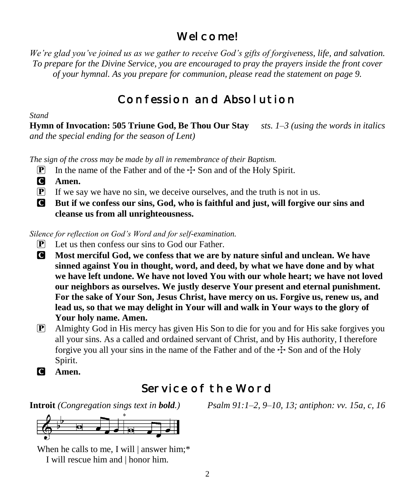# Wel come!

*We're glad you've joined us as we gather to receive God's gifts of forgiveness, life, and salvation. To prepare for the Divine Service, you are encouraged to pray the prayers inside the front cover of your hymnal. As you prepare for communion, please read the statement on page 9.*

# Confession and Absolution

*Stand*

**Hymn of Invocation: 505 Triune God, Be Thou Our Stay** *sts. 1–3 (using the words in italics and the special ending for the season of Lent)*

*The sign of the cross may be made by all in remembrance of their Baptism.*

- **P** In the name of the Father and of the  $\pm$  Son and of the Holy Spirit.
- C **Amen.**
- $\boxed{\mathbf{P}}$  If we say we have no sin, we deceive ourselves, and the truth is not in us.
- C **But if we confess our sins, God, who is faithful and just, will forgive our sins and cleanse us from all unrighteousness.**

*Silence for reflection on God's Word and for self-examination.*

- P Let us then confess our sins to God our Father.
- C **Most merciful God, we confess that we are by nature sinful and unclean. We have sinned against You in thought, word, and deed, by what we have done and by what we have left undone. We have not loved You with our whole heart; we have not loved our neighbors as ourselves. We justly deserve Your present and eternal punishment. For the sake of Your Son, Jesus Christ, have mercy on us. Forgive us, renew us, and lead us, so that we may delight in Your will and walk in Your ways to the glory of Your holy name. Amen.**
- P Almighty God in His mercy has given His Son to die for you and for His sake forgives you all your sins. As a called and ordained servant of Christ, and by His authority, I therefore forgive you all your sins in the name of the Father and of the  $\pm$  Son and of the Holy Spirit.
- C **Amen.**

# Service of the Word



When he calls to me, I will | answer him;\* I will rescue him and | honor him.

**Introit** *(Congregation sings text in bold.) Psalm 91:1–2, 9–10, 13; antiphon: vv. 15a, c, 16*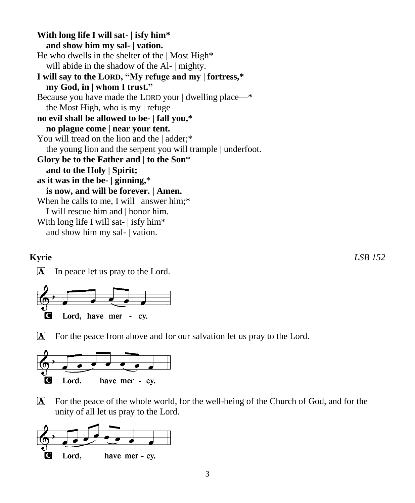**With long life I will sat- | isfy him\* and show him my sal- | vation.** He who dwells in the shelter of the  $\vert$  Most High<sup>\*</sup> will abide in the shadow of the Al- | mighty. **I will say to the LORD, "My refuge and my | fortress,\* my God, in | whom I trust."** Because you have made the LORD your | dwelling place—\* the Most High, who is my | refuge **no evil shall be allowed to be- | fall you,\* no plague come | near your tent.** You will tread on the lion and the | adder;\* the young lion and the serpent you will trample | underfoot. **Glory be to the Father and | to the Son**\* **and to the Holy | Spirit; as it was in the be- | ginning,**\* **is now, and will be forever. | Amen.** When he calls to me, I will | answer him;\* I will rescue him and | honor him. With long life I will sat- | isfy him\* and show him my sal- | vation.

 $\overline{A}$  In peace let us pray to the Lord.







A For the peace of the whole world, for the well-being of the Church of God, and for the unity of all let us pray to the Lord.



**Kyrie** *LSB 152*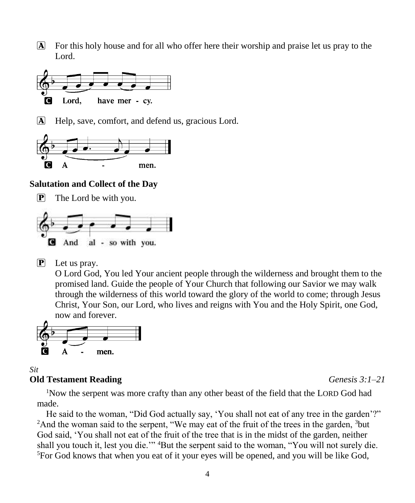A For this holy house and for all who offer here their worship and praise let us pray to the Lord.



A Help, save, comfort, and defend us, gracious Lord.



#### **Salutation and Collect of the Day**

 $\mathbf{P}$  The Lord be with you.



 $\mathbf{P}$  Let us pray.

O Lord God, You led Your ancient people through the wilderness and brought them to the promised land. Guide the people of Your Church that following our Savior we may walk through the wilderness of this world toward the glory of the world to come; through Jesus Christ, Your Son, our Lord, who lives and reigns with You and the Holy Spirit, one God, now and forever.



#### *Sit*

#### **Old Testament Reading** *Genesis 3:1–21*

<sup>1</sup>Now the serpent was more crafty than any other beast of the field that the LORD God had made.

He said to the woman, "Did God actually say, 'You shall not eat of any tree in the garden'?" <sup>2</sup>And the woman said to the serpent, "We may eat of the fruit of the trees in the garden, <sup>3</sup>but God said, 'You shall not eat of the fruit of the tree that is in the midst of the garden, neither shall you touch it, lest you die.'" <sup>4</sup>But the serpent said to the woman, "You will not surely die. 5For God knows that when you eat of it your eyes will be opened, and you will be like God,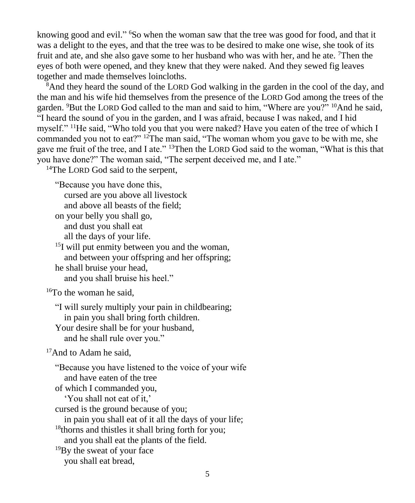knowing good and evil." <sup>6</sup>So when the woman saw that the tree was good for food, and that it was a delight to the eyes, and that the tree was to be desired to make one wise, she took of its fruit and ate, and she also gave some to her husband who was with her, and he ate. <sup>7</sup>Then the eyes of both were opened, and they knew that they were naked. And they sewed fig leaves together and made themselves loincloths.

<sup>8</sup>And they heard the sound of the LORD God walking in the garden in the cool of the day, and the man and his wife hid themselves from the presence of the LORD God among the trees of the garden. <sup>9</sup>But the LORD God called to the man and said to him, "Where are you?" <sup>10</sup>And he said, "I heard the sound of you in the garden, and I was afraid, because I was naked, and I hid myself." <sup>11</sup>He said, "Who told you that you were naked? Have you eaten of the tree of which I commanded you not to eat?" <sup>12</sup>The man said, "The woman whom you gave to be with me, she gave me fruit of the tree, and I ate." <sup>13</sup>Then the LORD God said to the woman, "What is this that you have done?" The woman said, "The serpent deceived me, and I ate."

<sup>14</sup>The LORD God said to the serpent,

"Because you have done this, cursed are you above all livestock and above all beasts of the field;

on your belly you shall go,

and dust you shall eat

all the days of your life.

<sup>15</sup>I will put enmity between you and the woman,

and between your offspring and her offspring;

he shall bruise your head,

and you shall bruise his heel."

 $16T<sub>O</sub>$  the woman he said,

"I will surely multiply your pain in childbearing; in pain you shall bring forth children.

Your desire shall be for your husband, and he shall rule over you."

<sup>17</sup>And to Adam he said,

"Because you have listened to the voice of your wife and have eaten of the tree of which I commanded you, 'You shall not eat of it,' cursed is the ground because of you; in pain you shall eat of it all the days of your life;  $18$ <sup>18</sup>thorns and thistles it shall bring forth for you; and you shall eat the plants of the field. <sup>19</sup>By the sweat of your face you shall eat bread,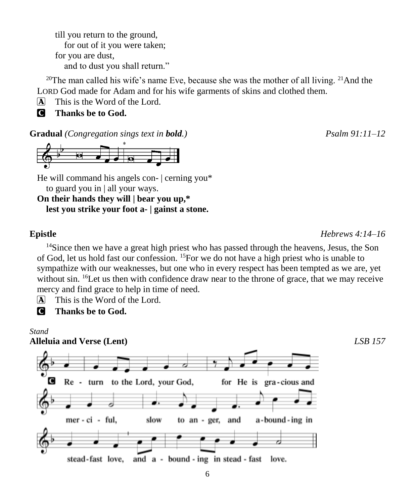till you return to the ground, for out of it you were taken; for you are dust, and to dust you shall return."

<sup>20</sup>The man called his wife's name Eve, because she was the mother of all living. <sup>21</sup>And the LORD God made for Adam and for his wife garments of skins and clothed them.

 $\overline{A}$  This is the Word of the Lord.

C **Thanks be to God.**

**Gradual** *(Congregation sings text in bold.) Psalm 91:11–12*



He will command his angels con- | cerning you\* to guard you in | all your ways.

**On their hands they will | bear you up,\* lest you strike your foot a- | gainst a stone.**

**Epistle** *Hebrews 4:14–16*

<sup>14</sup>Since then we have a great high priest who has passed through the heavens, Jesus, the Son of God, let us hold fast our confession. <sup>15</sup>For we do not have a high priest who is unable to sympathize with our weaknesses, but one who in every respect has been tempted as we are, yet without sin. <sup>16</sup>Let us then with confidence draw near to the throne of grace, that we may receive mercy and find grace to help in time of need.

- A This is the Word of the Lord.
- C **Thanks be to God.**

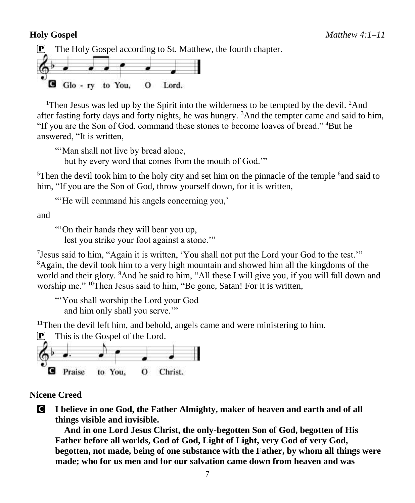The Holy Gospel according to St. Matthew, the fourth chapter.



<sup>1</sup>Then Jesus was led up by the Spirit into the wilderness to be tempted by the devil.  $^{2}$ And after fasting forty days and forty nights, he was hungry.  ${}^{3}$ And the tempter came and said to him, "If you are the Son of God, command these stones to become loaves of bread." <sup>4</sup>But he answered, "It is written,

"'Man shall not live by bread alone,

but by every word that comes from the mouth of God.'"

<sup>5</sup>Then the devil took him to the holy city and set him on the pinnacle of the temple  $6$  and said to him, "If you are the Son of God, throw yourself down, for it is written,

"He will command his angels concerning you,"

and

"'On their hands they will bear you up,

lest you strike your foot against a stone.'"

<sup>7</sup> Jesus said to him, "Again it is written, 'You shall not put the Lord your God to the test."" <sup>8</sup>Again, the devil took him to a very high mountain and showed him all the kingdoms of the world and their glory. <sup>9</sup>And he said to him, "All these I will give you, if you will fall down and worship me." <sup>10</sup>Then Jesus said to him, "Be gone, Satan! For it is written,

"'You shall worship the Lord your God and him only shall you serve.'"

<sup>11</sup>Then the devil left him, and behold, angels came and were ministering to him.



#### **Nicene Creed**

C **I believe in one God, the Father Almighty, maker of heaven and earth and of all things visible and invisible.**

**And in one Lord Jesus Christ, the only-begotten Son of God, begotten of His Father before all worlds, God of God, Light of Light, very God of very God, begotten, not made, being of one substance with the Father, by whom all things were made; who for us men and for our salvation came down from heaven and was**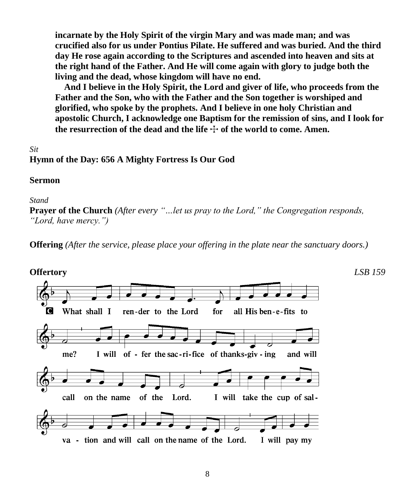**incarnate by the Holy Spirit of the virgin Mary and was made man; and was crucified also for us under Pontius Pilate. He suffered and was buried. And the third day He rose again according to the Scriptures and ascended into heaven and sits at the right hand of the Father. And He will come again with glory to judge both the living and the dead, whose kingdom will have no end.**

**And I believe in the Holy Spirit, the Lord and giver of life, who proceeds from the Father and the Son, who with the Father and the Son together is worshiped and glorified, who spoke by the prophets. And I believe in one holy Christian and apostolic Church, I acknowledge one Baptism for the remission of sins, and I look for**  the resurrection of the dead and the life  $\pm$  of the world to come. Amen.

*Sit* **Hymn of the Day: 656 A Mighty Fortress Is Our God**

#### **Sermon**

#### *Stand*

**Prayer of the Church** *(After every "…let us pray to the Lord," the Congregation responds, "Lord, have mercy.")*

**Offering** *(After the service, please place your offering in the plate near the sanctuary doors.)*

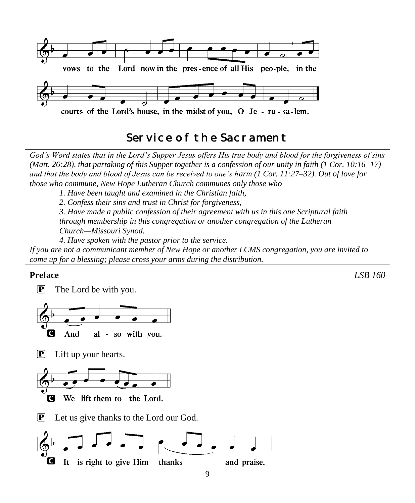

## Service of the Sacrament

*God's Word states that in the Lord's Supper Jesus offers His true body and blood for the forgiveness of sins (Matt. 26:28), that partaking of this Supper together is a confession of our unity in faith (1 Cor. 10:16–17) and that the body and blood of Jesus can be received to one's harm (1 Cor. 11:27–32). Out of love for those who commune, New Hope Lutheran Church communes only those who*

*1. Have been taught and examined in the Christian faith,* 

*2. Confess their sins and trust in Christ for forgiveness,* 

*3. Have made a public confession of their agreement with us in this one Scriptural faith through membership in this congregation or another congregation of the Lutheran Church—Missouri Synod.* 

*4. Have spoken with the pastor prior to the service.*

*If you are not a communicant member of New Hope or another LCMS congregation, you are invited to come up for a blessing; please cross your arms during the distribution.*

**Preface** *LSB 160*

 $\mathbf{P}$  The Lord be with you.



 $\boxed{\mathbf{P}}$  Lift up your hearts.



P Let us give thanks to the Lord our God.

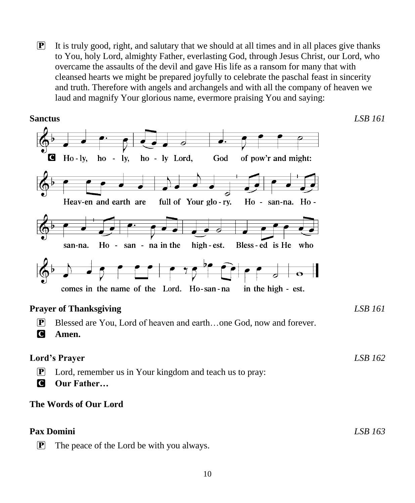$\boxed{\mathbf{P}}$  It is truly good, right, and salutary that we should at all times and in all places give thanks to You, holy Lord, almighty Father, everlasting God, through Jesus Christ, our Lord, who overcame the assaults of the devil and gave His life as a ransom for many that with cleansed hearts we might be prepared joyfully to celebrate the paschal feast in sincerity and truth. Therefore with angels and archangels and with all the company of heaven we laud and magnify Your glorious name, evermore praising You and saying:



#### **Prayer of Thanksgiving** *LSB 161*

- P Blessed are You, Lord of heaven and earth…one God, now and forever.
- C **Amen.**

### **Lord's Prayer** *LSB 162*

- P Lord, remember us in Your kingdom and teach us to pray:
- C **Our Father…**

## **The Words of Our Lord**

## **Pax Domini** *LSB 163*

 $\mathbf{P}$  The peace of the Lord be with you always.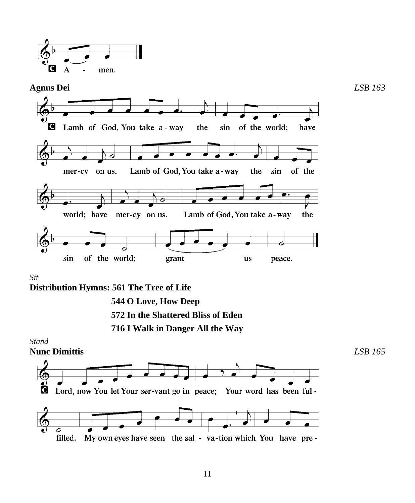



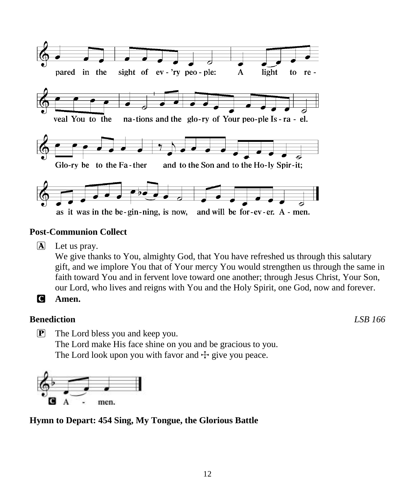

### **Post-Communion Collect**

 $\overline{A}$  Let us pray.

We give thanks to You, almighty God, that You have refreshed us through this salutary gift, and we implore You that of Your mercy You would strengthen us through the same in faith toward You and in fervent love toward one another; through Jesus Christ, Your Son, our Lord, who lives and reigns with You and the Holy Spirit, one God, now and forever.

C **Amen.**

#### **Benediction** *LSB 166*

P The Lord bless you and keep you. The Lord make His face shine on you and be gracious to you. The Lord look upon you with favor and  $\pm$  give you peace.



## **Hymn to Depart: 454 Sing, My Tongue, the Glorious Battle**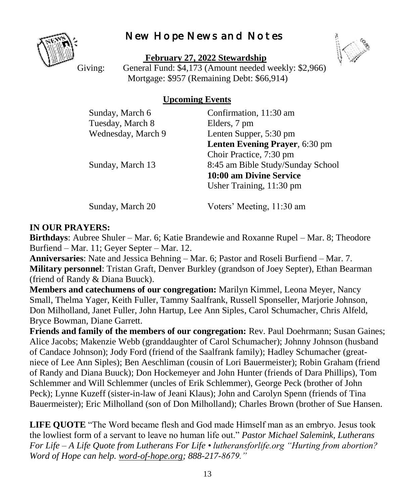# New Hope News and Notes



**February 27, 2022 Stewardship**

Giving: General Fund: \$4,173 (Amount needed weekly: \$2,966) Mortgage: \$957 (Remaining Debt: \$66,914)

### **Upcoming Events**

| Sunday, March 6    | Confirmation, 11:30 am            |
|--------------------|-----------------------------------|
| Tuesday, March 8   | Elders, 7 pm                      |
| Wednesday, March 9 | Lenten Supper, 5:30 pm            |
|                    | Lenten Evening Prayer, 6:30 pm    |
|                    | Choir Practice, 7:30 pm           |
| Sunday, March 13   | 8:45 am Bible Study/Sunday School |
|                    | 10:00 am Divine Service           |
|                    | Usher Training, 11:30 pm          |
|                    |                                   |

Sunday, March 20 Voters' Meeting, 11:30 am

### **IN OUR PRAYERS:**

**Birthdays**: Aubree Shuler – Mar. 6; Katie Brandewie and Roxanne Rupel – Mar. 8; Theodore Burfiend – Mar. 11; Geyer Septer – Mar. 12.

**Anniversaries**: Nate and Jessica Behning – Mar. 6; Pastor and Roseli Burfiend – Mar. 7. **Military personnel**: Tristan Graft, Denver Burkley (grandson of Joey Septer), Ethan Bearman (friend of Randy & Diana Buuck).

**Members and catechumens of our congregation:** Marilyn Kimmel, Leona Meyer, Nancy Small, Thelma Yager, Keith Fuller, Tammy Saalfrank, Russell Sponseller, Marjorie Johnson, Don Milholland, Janet Fuller, John Hartup, Lee Ann Siples, Carol Schumacher, Chris Alfeld, Bryce Bowman, Diane Garrett.

**Friends and family of the members of our congregation:** Rev. Paul Doehrmann; Susan Gaines; Alice Jacobs; Makenzie Webb (granddaughter of Carol Schumacher); Johnny Johnson (husband of Candace Johnson); Jody Ford (friend of the Saalfrank family); Hadley Schumacher (greatniece of Lee Ann Siples); Ben Aeschliman (cousin of Lori Bauermeister); Robin Graham (friend of Randy and Diana Buuck); Don Hockemeyer and John Hunter (friends of Dara Phillips), Tom Schlemmer and Will Schlemmer (uncles of Erik Schlemmer), George Peck (brother of John Peck); Lynne Kuzeff (sister-in-law of Jeani Klaus); John and Carolyn Spenn (friends of Tina Bauermeister); Eric Milholland (son of Don Milholland); Charles Brown (brother of Sue Hansen.

**LIFE QUOTE** "The Word became flesh and God made Himself man as an embryo. Jesus took the lowliest form of a servant to leave no human life out." *Pastor Michael Salemink, Lutherans For Life – A Life Quote from Lutherans For Life • lutheransforlife.org "Hurting from abortion? Word of Hope can help. [word-of-hope.org;](https://word-of-hope.org/) 888-217-8679."*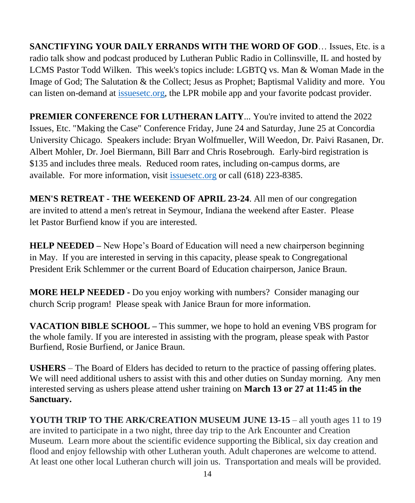**SANCTIFYING YOUR DAILY ERRANDS WITH THE WORD OF GOD**… Issues, Etc. is a radio talk show and podcast produced by Lutheran Public Radio in Collinsville, IL and hosted by LCMS Pastor Todd Wilken. This week's topics include: LGBTQ vs. Man & Woman Made in the Image of God; The Salutation & the Collect; Jesus as Prophet; Baptismal Validity and more. You can listen on-demand at [issuesetc.org,](https://r20.rs6.net/tn.jsp?f=001TNcoxkyH9ZTWDYaXjiIjChiRW57DoM-LjBDWJkFipWrDFwvPaBqlZeXrET64eqrzxp5r-gD3scMZ-EKgG5c9K79Oqrn31wV_NCoGBDlyjNBM5_fEEZ59J58kmOzGFbfZDuLE1XhkMpk42hwYtzBPlg==&c=9MTZLxs2r7P_AZu-Gt_Nz_pouXG_V4snGEHadDKOQiH7uvV9S4sQLA==&ch=nU6_ObcUEmeDairrgmIywoigmyF6iOU-LHM0faceAsZjAGIXDjiAaQ==) the LPR mobile app and your favorite podcast provider.

**PREMIER CONFERENCE FOR LUTHERAN LAITY...** You're invited to attend the 2022 Issues, Etc. "Making the Case" Conference Friday, June 24 and Saturday, June 25 at Concordia University Chicago. Speakers include: Bryan Wolfmueller, Will Weedon, Dr. Paivi Rasanen, Dr. Albert Mohler, Dr. Joel Biermann, Bill Barr and Chris Rosebrough. Early-bird registration is \$135 and includes three meals. Reduced room rates, including on-campus dorms, are available. For more information, visit [issuesetc.org](https://r20.rs6.net/tn.jsp?f=001euVFadQYlcqFiWhNUjuBbHDmQt8zr5LGpqJOcLv4QfFxYfmz4IzpW9kQiozbqP7syCQO2oCzsyztEbkKm8bVvaaPXiIjldQ_yas1ukD2ts2H0PQi4aQvfhXbzpttXfxWoUQb2-KbSC90tXVYSQxNjQ==&c=LRpREN2vtUelZtY1CHzz_oytM671LfaiHMh8a0E8a2H4Lst8uHALhQ==&ch=ez5PS-pzAEDlkyvIKHLvGSu-gTy7UOzK6LklBsmfJD5SWaW-5-8Yfg==) or call (618) 223-8385.

**MEN'S RETREAT - THE WEEKEND OF APRIL 23-24**. All men of our congregation are invited to attend a men's retreat in Seymour, Indiana the weekend after Easter. Please let Pastor Burfiend know if you are interested.

**HELP NEEDED** – New Hope's Board of Education will need a new chairperson beginning in May. If you are interested in serving in this capacity, please speak to Congregational President Erik Schlemmer or the current Board of Education chairperson, Janice Braun.

**MORE HELP NEEDED -** Do you enjoy working with numbers? Consider managing our church Scrip program! Please speak with Janice Braun for more information.

**VACATION BIBLE SCHOOL –** This summer, we hope to hold an evening VBS program for the whole family. If you are interested in assisting with the program, please speak with Pastor Burfiend, Rosie Burfiend, or Janice Braun.

**USHERS** – The Board of Elders has decided to return to the practice of passing offering plates. We will need additional ushers to assist with this and other duties on Sunday morning. Any men interested serving as ushers please attend usher training on **March 13 or 27 at 11:45 in the Sanctuary.**

**YOUTH TRIP TO THE ARK/CREATION MUSEUM JUNE 13-15** – all youth ages 11 to 19 are invited to participate in a two night, three day trip to the Ark Encounter and Creation Museum. Learn more about the scientific evidence supporting the Biblical, six day creation and flood and enjoy fellowship with other Lutheran youth. Adult chaperones are welcome to attend. At least one other local Lutheran church will join us. Transportation and meals will be provided.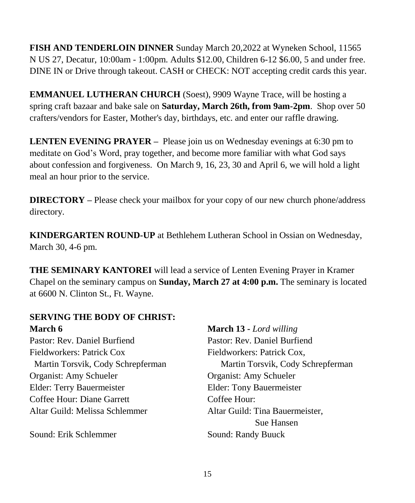**FISH AND TENDERLOIN DINNER** Sunday March 20,2022 at Wyneken School, 11565 N US 27, Decatur, 10:00am - 1:00pm. Adults \$12.00, Children 6-12 \$6.00, 5 and under free. DINE IN or Drive through takeout. CASH or CHECK: NOT accepting credit cards this year.

**EMMANUEL LUTHERAN CHURCH** (Soest), 9909 Wayne Trace, will be hosting a spring craft bazaar and bake sale on **Saturday, March 26th, from 9am-2pm**. Shop over 50 crafters/vendors for Easter, Mother's day, birthdays, etc. and enter our raffle drawing.

**LENTEN EVENING PRAYER –** Please join us on Wednesday evenings at 6:30 pm to meditate on God's Word, pray together, and become more familiar with what God says about confession and forgiveness. On March 9, 16, 23, 30 and April 6, we will hold a light meal an hour prior to the service.

**DIRECTORY –** Please check your mailbox for your copy of our new church phone/address directory.

**KINDERGARTEN ROUND-UP** at Bethlehem Lutheran School in Ossian on Wednesday, March 30, 4-6 pm.

**THE SEMINARY KANTOREI** will lead a service of Lenten Evening Prayer in Kramer Chapel on the seminary campus on **Sunday, March 27 at 4:00 p.m.** The seminary is located at 6600 N. Clinton St., Ft. Wayne.

### **SERVING THE BODY OF CHRIST: March 6 March 13 -** *Lord willing*

Pastor: Rev. Daniel Burfiend Pastor: Rev. Daniel Burfiend Fieldworkers: Patrick Cox Fieldworkers: Patrick Cox, Organist: Amy Schueler Organist: Amy Schueler Elder: Terry Bauermeister Elder: Tony Bauermeister Coffee Hour: Diane Garrett Coffee Hour: Altar Guild: Melissa Schlemmer Altar Guild: Tina Bauermeister,

Sound: Erik Schlemmer Sound: Randy Buuck

Martin Torsvik, Cody Schrepferman Martin Torsvik, Cody Schrepferman Sue Hansen